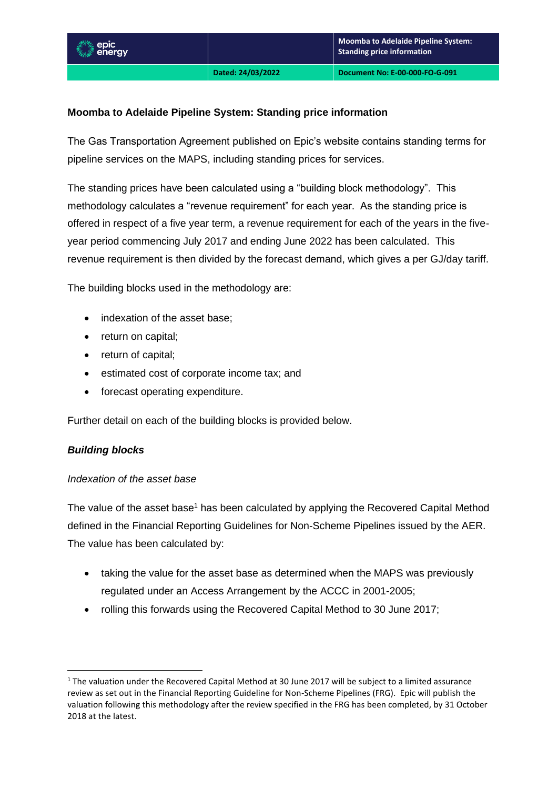#### **Moomba to Adelaide Pipeline System: Standing price information**

The Gas Transportation Agreement published on Epic's website contains standing terms for pipeline services on the MAPS, including standing prices for services.

The standing prices have been calculated using a "building block methodology". This methodology calculates a "revenue requirement" for each year. As the standing price is offered in respect of a five year term, a revenue requirement for each of the years in the fiveyear period commencing July 2017 and ending June 2022 has been calculated. This revenue requirement is then divided by the forecast demand, which gives a per GJ/day tariff.

The building blocks used in the methodology are:

- indexation of the asset base;
- return on capital;
- return of capital;
- estimated cost of corporate income tax; and
- forecast operating expenditure.

Further detail on each of the building blocks is provided below.

#### *Building blocks*

#### *Indexation of the asset base*

The value of the asset base<sup>1</sup> has been calculated by applying the Recovered Capital Method defined in the Financial Reporting Guidelines for Non-Scheme Pipelines issued by the AER. The value has been calculated by:

- taking the value for the asset base as determined when the MAPS was previously regulated under an Access Arrangement by the ACCC in 2001-2005;
- rolling this forwards using the Recovered Capital Method to 30 June 2017;

<sup>&</sup>lt;sup>1</sup> The valuation under the Recovered Capital Method at 30 June 2017 will be subject to a limited assurance review as set out in the Financial Reporting Guideline for Non-Scheme Pipelines (FRG). Epic will publish the valuation following this methodology after the review specified in the FRG has been completed, by 31 October 2018 at the latest.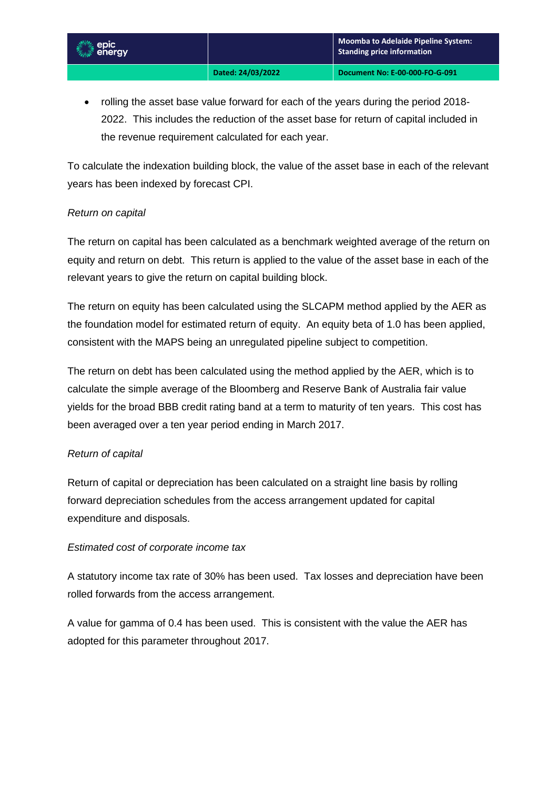• rolling the asset base value forward for each of the years during the period 2018- 2022. This includes the reduction of the asset base for return of capital included in the revenue requirement calculated for each year.

To calculate the indexation building block, the value of the asset base in each of the relevant years has been indexed by forecast CPI.

# *Return on capital*

The return on capital has been calculated as a benchmark weighted average of the return on equity and return on debt. This return is applied to the value of the asset base in each of the relevant years to give the return on capital building block.

The return on equity has been calculated using the SLCAPM method applied by the AER as the foundation model for estimated return of equity. An equity beta of 1.0 has been applied, consistent with the MAPS being an unregulated pipeline subject to competition.

The return on debt has been calculated using the method applied by the AER, which is to calculate the simple average of the Bloomberg and Reserve Bank of Australia fair value yields for the broad BBB credit rating band at a term to maturity of ten years. This cost has been averaged over a ten year period ending in March 2017.

# *Return of capital*

Return of capital or depreciation has been calculated on a straight line basis by rolling forward depreciation schedules from the access arrangement updated for capital expenditure and disposals.

# *Estimated cost of corporate income tax*

A statutory income tax rate of 30% has been used. Tax losses and depreciation have been rolled forwards from the access arrangement.

A value for gamma of 0.4 has been used. This is consistent with the value the AER has adopted for this parameter throughout 2017.